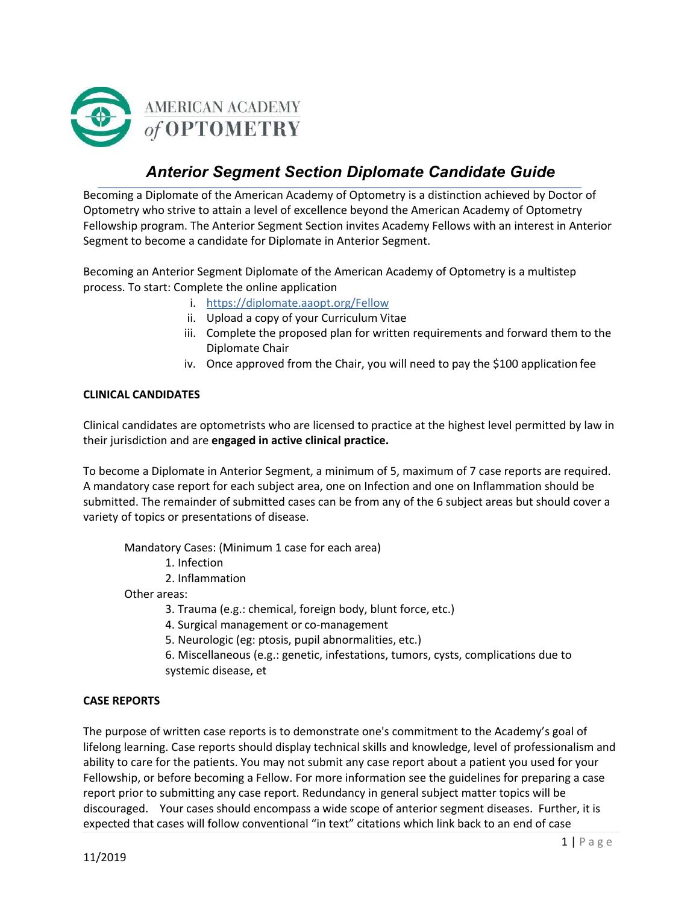

# *Anterior Segment Section Diplomate Candidate Guide*

Becoming a Diplomate of the American Academy of Optometry is a distinction achieved by Doctor of Optometry who strive to attain a level of excellence beyond the American Academy of Optometry Fellowship program. The Anterior Segment Section invites Academy Fellows with an interest in Anterior Segment to become a candidate for Diplomate in Anterior Segment.

Becoming an Anterior Segment Diplomate of the American Academy of Optometry is a multistep process. To start: Complete the online application

- i. https://diplomate.aaopt.org/Fellow
- ii. Upload a copy of your Curriculum Vitae
- iii. Complete the proposed plan for written requirements and forward them to the Diplomate Chair
- iv. Once approved from the Chair, you will need to pay the \$100 application fee

#### **CLINICAL CANDIDATES**

Clinical candidates are optometrists who are licensed to practice at the highest level permitted by law in their jurisdiction and are **engaged in active clinical practice.**

To become a Diplomate in Anterior Segment, a minimum of 5, maximum of 7 case reports are required. A mandatory case report for each subject area, one on Infection and one on Inflammation should be submitted. The remainder of submitted cases can be from any of the 6 subject areas but should cover a variety of topics or presentations of disease.

Mandatory Cases: (Minimum 1 case for each area)

1. Infection

2. Inflammation

Other areas:

- 3. Trauma (e.g.: chemical, foreign body, blunt force, etc.)
- 4. Surgical management or co-management
- 5. Neurologic (eg: ptosis, pupil abnormalities, etc.)
- 6. Miscellaneous (e.g.: genetic, infestations, tumors, cysts, complications due to systemic disease, et

#### **CASE REPORTS**

The purpose of written case reports is to demonstrate one's commitment to the Academy's goal of lifelong learning. Case reports should display technical skills and knowledge, level of professionalism and ability to care for the patients. You may not submit any case report about a patient you used for your Fellowship, or before becoming a Fellow. For more information see the guidelines for preparing a case report prior to submitting any case report. Redundancy in general subject matter topics will be discouraged. Your cases should encompass a wide scope of anterior segment diseases. Further, it is expected that cases will follow conventional "in text" citations which link back to an end of case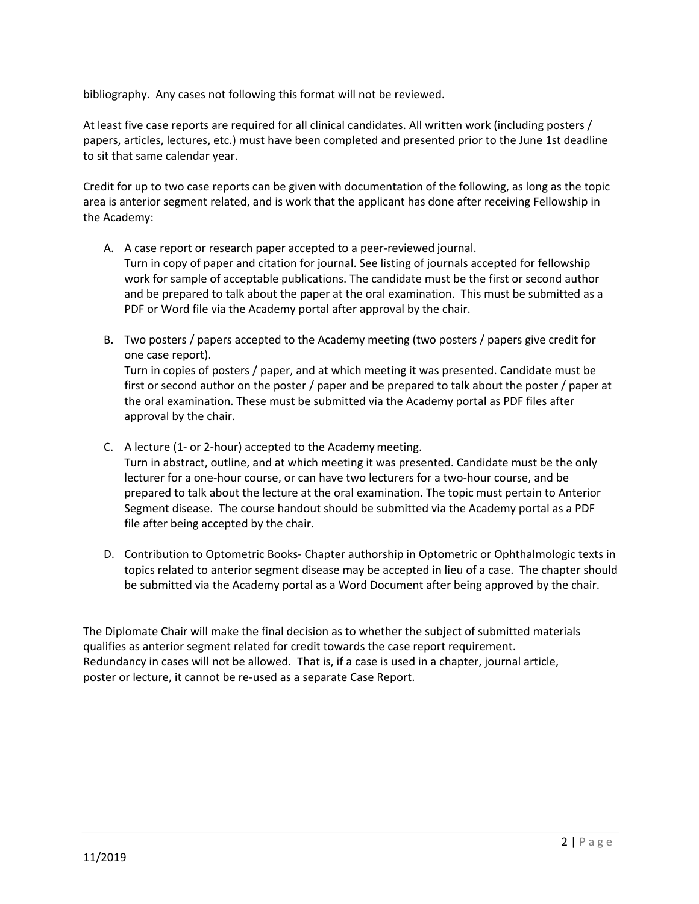bibliography. Any cases not following this format will not be reviewed.

At least five case reports are required for all clinical candidates. All written work (including posters / papers, articles, lectures, etc.) must have been completed and presented prior to the June 1st deadline to sit that same calendar year.

Credit for up to two case reports can be given with documentation of the following, as long as the topic area is anterior segment related, and is work that the applicant has done after receiving Fellowship in the Academy:

- A. A case report or research paper accepted to a peer-reviewed journal. Turn in copy of paper and citation for journal. See listing of journals accepted for fellowship work for sample of acceptable publications. The candidate must be the first or second author and be prepared to talk about the paper at the oral examination. This must be submitted as a PDF or Word file via the Academy portal after approval by the chair.
- B. Two posters / papers accepted to the Academy meeting (two posters / papers give credit for one case report). Turn in copies of posters / paper, and at which meeting it was presented. Candidate must be first or second author on the poster / paper and be prepared to talk about the poster / paper at the oral examination. These must be submitted via the Academy portal as PDF files after approval by the chair.
- C. A lecture (1- or 2-hour) accepted to the Academymeeting.

Turn in abstract, outline, and at which meeting it was presented. Candidate must be the only lecturer for a one-hour course, or can have two lecturers for a two-hour course, and be prepared to talk about the lecture at the oral examination. The topic must pertain to Anterior Segment disease. The course handout should be submitted via the Academy portal as a PDF file after being accepted by the chair.

D. Contribution to Optometric Books- Chapter authorship in Optometric or Ophthalmologic texts in topics related to anterior segment disease may be accepted in lieu of a case. The chapter should be submitted via the Academy portal as a Word Document after being approved by the chair.

The Diplomate Chair will make the final decision as to whether the subject of submitted materials qualifies as anterior segment related for credit towards the case report requirement. Redundancy in cases will not be allowed. That is, if a case is used in a chapter, journal article, poster or lecture, it cannot be re-used as a separate Case Report.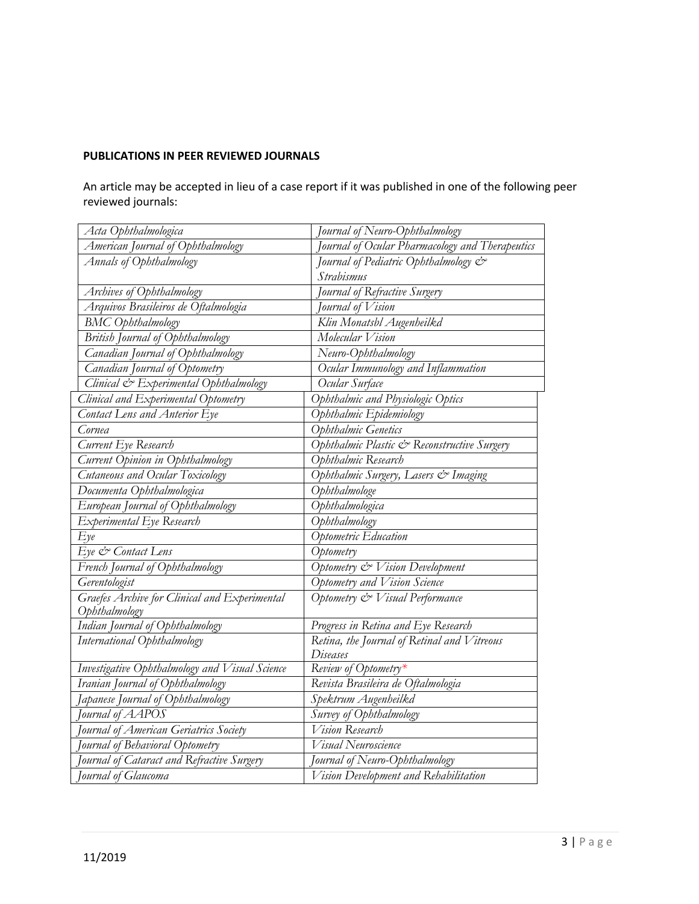## **PUBLICATIONS IN PEER REVIEWED JOURNALS**

An article may be accepted in lieu of a case report if it was published in one of the following peer reviewed journals:

| Acta Ophthalmologica                                                          | Tournal of Neuro-Ophthalmology                 |
|-------------------------------------------------------------------------------|------------------------------------------------|
| American Journal of Ophthalmology                                             | ournal of Ocular Pharmacology and Therapeutics |
| Annals of Ophthalmology                                                       | Journal of Pediatric Ophthalmology &           |
|                                                                               | Strabismus                                     |
| Archives of Ophthalmology                                                     | Journal of Refractive Surgery                  |
| Arquivos Brasileiros de Oftalmologia                                          | Journal of Vision                              |
| <b>BMC</b> Ophthalmology                                                      | Klin Monatsbl Augenheilkd                      |
| British Journal of Ophthalmology                                              | Molecular Vision                               |
| Canadian Journal of Ophthalmology                                             | Neuro-Ophthalmology                            |
| Canadian Journal of Optometry                                                 | Ocular Immunology and Inflammation             |
| Clinical & Experimental Ophthalmology                                         | Ocular Surface                                 |
| Clinical and Experimental Optometry                                           | Ophthalmic and Physiologic Optics              |
| Contact Lens and Anterior Eye                                                 | Ophthalmic Epidemiology                        |
| Cornea                                                                        | Ophthalmic Genetics                            |
| Current Eye Research                                                          | Ophthalmic Plastic & Reconstructive Surgery    |
| Current Opinion in Ophthalmology                                              | Ophthalmic Research                            |
| Cutaneous and Ocular Toxicology                                               | Ophthalmic Surgery, Lasers & Imaging           |
| Documenta Ophthalmologica                                                     | Ophthalmologe                                  |
| European Journal of Ophthalmology                                             | Ophthalmologica                                |
| Experimental Eye Research                                                     | Ophthalmology                                  |
| Eye                                                                           | Optometric Education                           |
| Eye & Contact Lens                                                            | Optometry                                      |
| French Journal of Ophthalmology                                               | Optometry & Vision Development                 |
| Gerentologist                                                                 | Optometry and Vision Science                   |
| Graefes Archive for Clinical and Experimental                                 | Optometry & Visual Performance                 |
| Ophthalmology                                                                 |                                                |
| Indian Journal of Ophthalmology                                               | Progress in Retina and Eye Research            |
| International Ophthalmology                                                   | Retina, the Journal of Retinal and Vitreous    |
|                                                                               | Diseases                                       |
| Investigative Ophthalmology and Visual Science                                | Review of Optometry*                           |
| Iranian Journal of Ophthalmology                                              | Revista Brasileira de Oftalmologia             |
| Japanese Journal of Ophthalmology<br>Journal of AAPOS                         | Spektrum Augenheilkd                           |
|                                                                               | Survey of Ophthalmology<br>Vision Research     |
| Journal of American Geriatrics Society                                        | Visual Neuroscience                            |
| Journal of Behavioral Optometry<br>Journal of Cataract and Refractive Surgery | Journal of Neuro-Ophthalmology                 |
| Journal of Glaucoma                                                           | Vision Development and Rehabilitation          |
|                                                                               |                                                |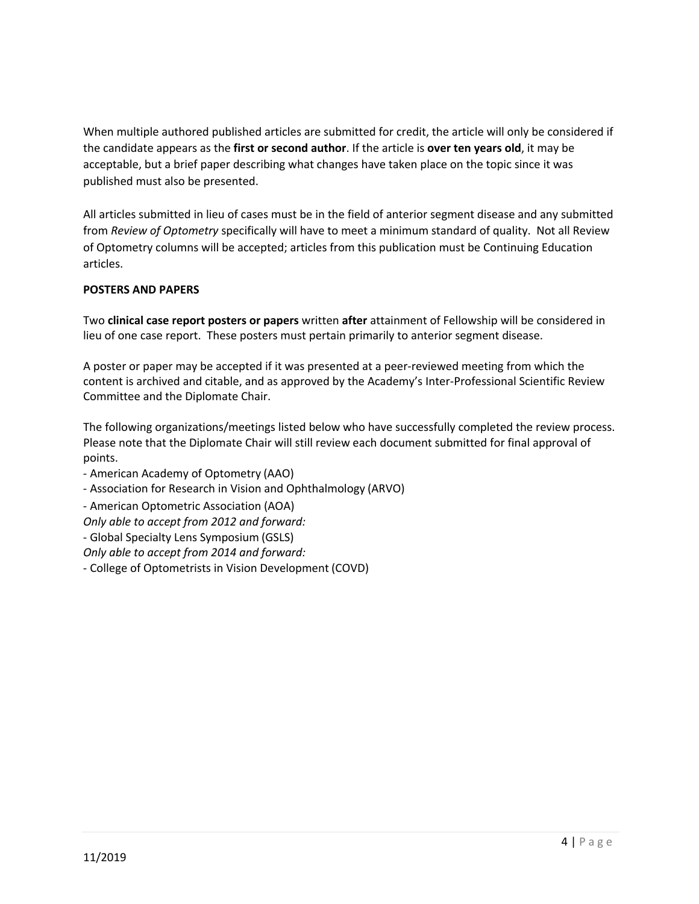When multiple authored published articles are submitted for credit, the article will only be considered if the candidate appears as the **first or second author**. If the article is **over ten years old**, it may be acceptable, but a brief paper describing what changes have taken place on the topic since it was published must also be presented.

All articles submitted in lieu of cases must be in the field of anterior segment disease and any submitted from *Review of Optometry* specifically will have to meet a minimum standard of quality. Not all Review of Optometry columns will be accepted; articles from this publication must be Continuing Education articles.

## **POSTERS AND PAPERS**

Two **clinical case report posters or papers** written **after** attainment of Fellowship will be considered in lieu of one case report. These posters must pertain primarily to anterior segment disease.

A poster or paper may be accepted if it was presented at a peer-reviewed meeting from which the content is archived and citable, and as approved by the Academy's Inter-Professional Scientific Review Committee and the Diplomate Chair.

The following organizations/meetings listed below who have successfully completed the review process. Please note that the Diplomate Chair will still review each document submitted for final approval of points.

- American Academy of Optometry (AAO)

- Association for Research in Vision and Ophthalmology (ARVO)
- American Optometric Association (AOA)

*Only able to accept from 2012 and forward:*

- Global Specialty Lens Symposium (GSLS)

*Only able to accept from 2014 and forward:*

- College of Optometrists in Vision Development (COVD)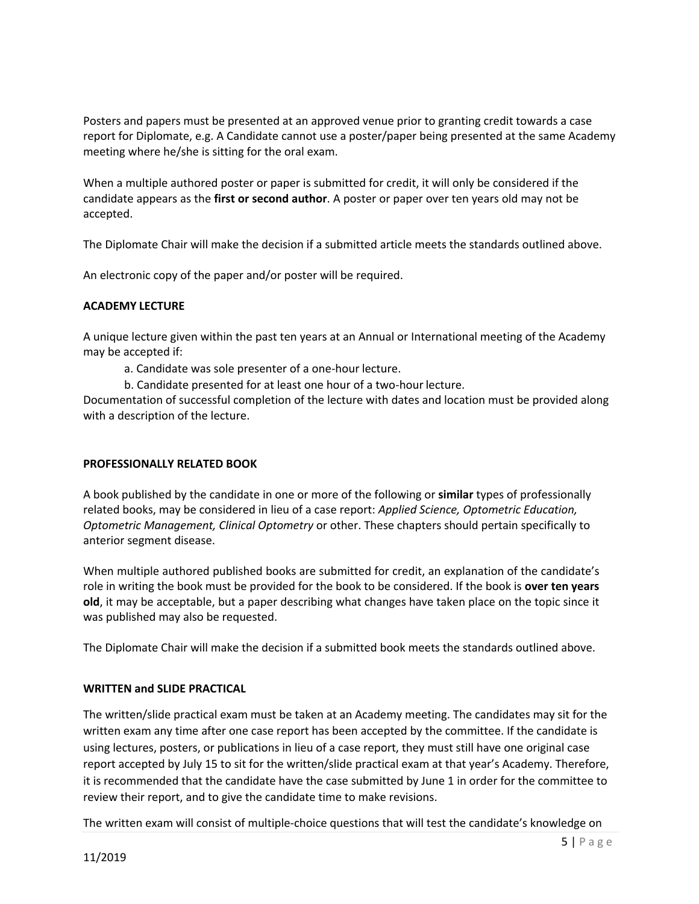Posters and papers must be presented at an approved venue prior to granting credit towards a case report for Diplomate, e.g. A Candidate cannot use a poster/paper being presented at the same Academy meeting where he/she is sitting for the oral exam.

When a multiple authored poster or paper is submitted for credit, it will only be considered if the candidate appears as the **first or second author**. A poster or paper over ten years old may not be accepted.

The Diplomate Chair will make the decision if a submitted article meets the standards outlined above.

An electronic copy of the paper and/or poster will be required.

## **ACADEMY LECTURE**

A unique lecture given within the past ten years at an Annual or International meeting of the Academy may be accepted if:

- a. Candidate was sole presenter of a one-hour lecture.
- b. Candidate presented for at least one hour of a two-hour lecture.

Documentation of successful completion of the lecture with dates and location must be provided along with a description of the lecture.

#### **PROFESSIONALLY RELATED BOOK**

A book published by the candidate in one or more of the following or **similar** types of professionally related books, may be considered in lieu of a case report: *Applied Science, Optometric Education, Optometric Management, Clinical Optometry* or other. These chapters should pertain specifically to anterior segment disease.

When multiple authored published books are submitted for credit, an explanation of the candidate's role in writing the book must be provided for the book to be considered. If the book is **over ten years old**, it may be acceptable, but a paper describing what changes have taken place on the topic since it was published may also be requested.

The Diplomate Chair will make the decision if a submitted book meets the standards outlined above.

#### **WRITTEN and SLIDE PRACTICAL**

The written/slide practical exam must be taken at an Academy meeting. The candidates may sit for the written exam any time after one case report has been accepted by the committee. If the candidate is using lectures, posters, or publications in lieu of a case report, they must still have one original case report accepted by July 15 to sit for the written/slide practical exam at that year's Academy. Therefore, it is recommended that the candidate have the case submitted by June 1 in order for the committee to review their report, and to give the candidate time to make revisions.

The written exam will consist of multiple-choice questions that will test the candidate's knowledge on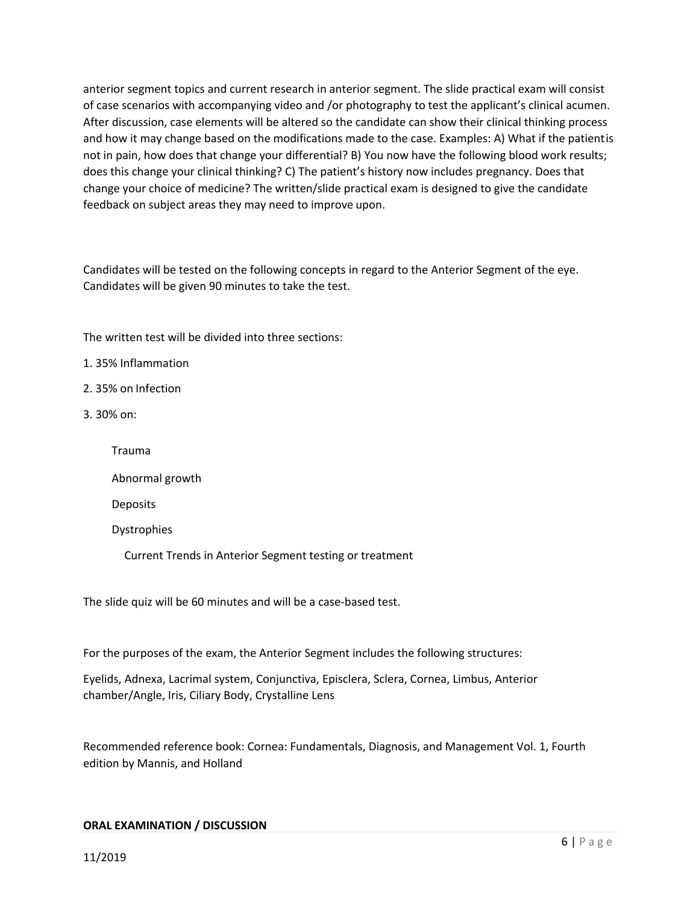anterior segment topics and current research in anterior segment. The slide practical exam will consist of case scenarios with accompanying video and /or photography to test the applicant's clinical acumen. After discussion, case elements will be altered so the candidate can show their clinical thinking process and how it may change based on the modifications made to the case. Examples: A) What if the patientis not in pain, how does that change your differential? B) You now have the following blood work results; does this change your clinical thinking? C) The patient's history now includes pregnancy. Does that change your choice of medicine? The written/slide practical exam is designed to give the candidate feedback on subject areas they may need to improve upon.

Candidates will be tested on the following concepts in regard to the Anterior Segment of the eye. Candidates will be given 90 minutes to take the test.

The written test will be divided into three sections:

1. 35% Inflammation

- 2. 35% on Infection
- 3. 30% on:

Trauma

Abnormal growth

Deposits

Dystrophies

Current Trends in Anterior Segment testing or treatment

The slide quiz will be 60 minutes and will be a case-based test.

For the purposes of the exam, the Anterior Segment includes the following structures:

Eyelids, Adnexa, Lacrimal system, Conjunctiva, Episclera, Sclera, Cornea, Limbus, Anterior chamber/Angle, Iris, Ciliary Body, Crystalline Lens

Recommended reference book: Cornea: Fundamentals, Diagnosis, and Management Vol. 1, Fourth edition by Mannis, and Holland

#### **ORAL EXAMINATION / DISCUSSION**